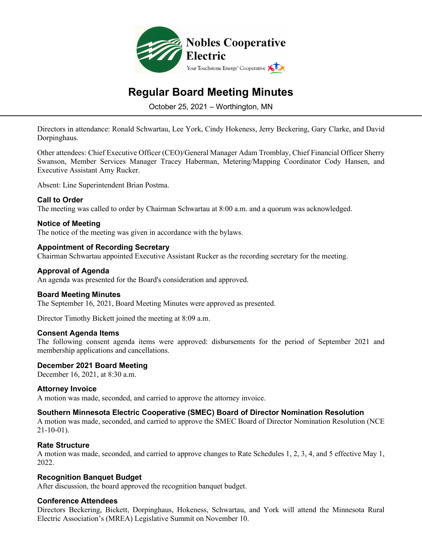

# **Regular Board Meeting Minutes**

October 25, 2021 – Worthington, MN

Directors in attendance: Ronald Schwartau, Lee York, Cindy Hokeness, Jerry Beckering, Gary Clarke, and David Dorpinghaus.

Other attendees: Chief Executive Officer (CEO)/General Manager Adam Tromblay, Chief Financial Officer Sherry Swanson, Member Services Manager Tracey Haberman, Metering/Mapping Coordinator Cody Hansen, and Executive Assistant Amy Rucker.

Absent: Line Superintendent Brian Postma.

#### **Call to Order**

The meeting was called to order by Chairman Schwartau at 8:00 a.m. and a quorum was acknowledged.

# **Notice of Meeting**

The notice of the meeting was given in accordance with the bylaws.

#### **Appointment of Recording Secretary**

Chairman Schwartau appointed Executive Assistant Rucker as the recording secretary for the meeting.

#### **Approval of Agenda**

An agenda was presented for the Board's consideration and approved.

#### **Board Meeting Minutes**

The September 16, 2021, Board Meeting Minutes were approved as presented.

Director Timothy Bickett joined the meeting at 8:09 a.m.

#### **Consent Agenda Items**

The following consent agenda items were approved: disbursements for the period of September 2021 and membership applications and cancellations.

#### **December 2021 Board Meeting**

December 16, 2021, at 8:30 a.m.

#### **Attorney Invoice**

A motion was made, seconded, and carried to approve the attorney invoice.

#### **Southern Minnesota Electric Cooperative (SMEC) Board of Director Nomination Resolution**

A motion was made, seconded, and carried to approve the SMEC Board of Director Nomination Resolution (NCE 21-10-01).

#### **Rate Structure**

A motion was made, seconded, and carried to approve changes to Rate Schedules 1, 2, 3, 4, and 5 effective May 1, 2022.

#### **Recognition Banquet Budget**

After discussion, the board approved the recognition banquet budget.

#### **Conference Attendees**

Directors Beckering, Bickett, Dorpinghaus, Hokeness, Schwartau, and York will attend the Minnesota Rural Electric Association's (MREA) Legislative Summit on November 10.